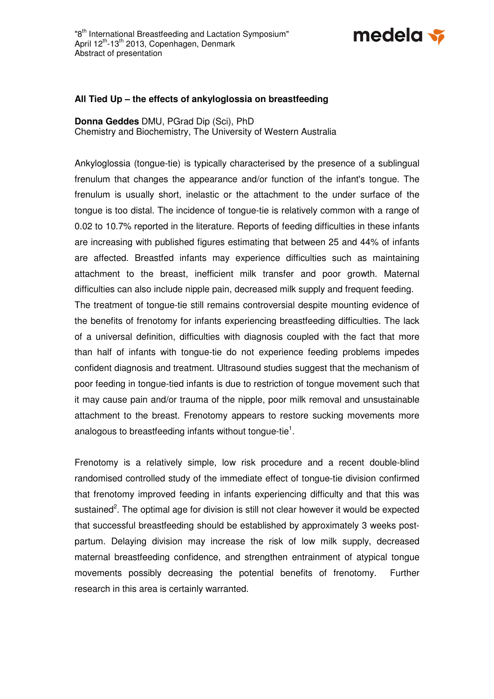

## **All Tied Up – the effects of ankyloglossia on breastfeeding**

**Donna Geddes** DMU, PGrad Dip (Sci), PhD Chemistry and Biochemistry, The University of Western Australia

Ankyloglossia (tongue-tie) is typically characterised by the presence of a sublingual frenulum that changes the appearance and/or function of the infant's tongue. The frenulum is usually short, inelastic or the attachment to the under surface of the tongue is too distal. The incidence of tongue-tie is relatively common with a range of 0.02 to 10.7% reported in the literature. Reports of feeding difficulties in these infants are increasing with published figures estimating that between 25 and 44% of infants are affected. Breastfed infants may experience difficulties such as maintaining attachment to the breast, inefficient milk transfer and poor growth. Maternal difficulties can also include nipple pain, decreased milk supply and frequent feeding. The treatment of tongue-tie still remains controversial despite mounting evidence of the benefits of frenotomy for infants experiencing breastfeeding difficulties. The lack of a universal definition, difficulties with diagnosis coupled with the fact that more than half of infants with tongue-tie do not experience feeding problems impedes confident diagnosis and treatment. Ultrasound studies suggest that the mechanism of poor feeding in tongue-tied infants is due to restriction of tongue movement such that it may cause pain and/or trauma of the nipple, poor milk removal and unsustainable attachment to the breast. Frenotomy appears to restore sucking movements more analogous to breastfeeding infants without tongue-tie $^1$ .

Frenotomy is a relatively simple, low risk procedure and a recent double-blind randomised controlled study of the immediate effect of tongue-tie division confirmed that frenotomy improved feeding in infants experiencing difficulty and that this was sustained<sup>2</sup>. The optimal age for division is still not clear however it would be expected that successful breastfeeding should be established by approximately 3 weeks postpartum. Delaying division may increase the risk of low milk supply, decreased maternal breastfeeding confidence, and strengthen entrainment of atypical tongue movements possibly decreasing the potential benefits of frenotomy. Further research in this area is certainly warranted.